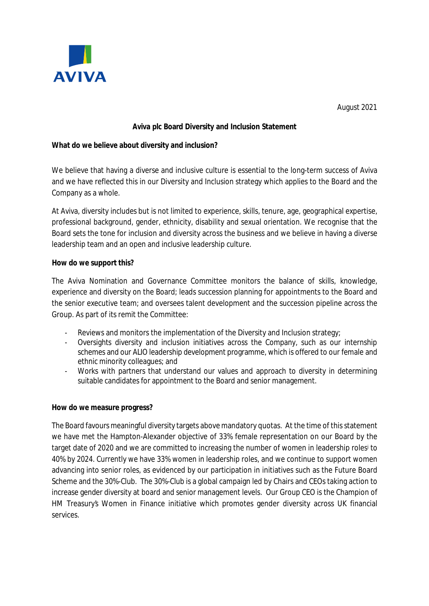

August 2021

## **Aviva plc Board Diversity and Inclusion Statement**

## **What do we believe about diversity and inclusion?**

We believe that having a diverse and inclusive culture is essential to the long-term success of Aviva and we have reflected this in our Diversity and Inclusion strategy which applies to the Board and the Company as a whole.

At Aviva, diversity includes but is not limited to experience, skills, tenure, age, geographical expertise, professional background, gender, ethnicity, disability and sexual orientation. We recognise that the Board sets the tone for inclusion and diversity across the business and we believe in having a diverse leadership team and an open and inclusive leadership culture.

## **How do we support this?**

The Aviva Nomination and Governance Committee monitors the balance of skills, knowledge, experience and diversity on the Board; leads succession planning for appointments to the Board and the senior executive team; and oversees talent development and the succession pipeline across the Group. As part of its remit the Committee:

- Reviews and monitors the implementation of the Diversity and Inclusion strategy;
- Oversights diversity and inclusion initiatives across the Company, such as our internship schemes and our ALIO leadership development programme, which is offered to our female and ethnic minority colleagues; and
- Works with partners that understand our values and approach to diversity in determining suitable candidates for appointment to the Board and senior management.

## **How do we measure progress?**

The Board favours meaningful diversity targets above mandatory quotas. At the time of this statement we have met the Hampton-Alexander objective of 33% female representation on our Board by the target date of 2020 and we are committed to increasing the number of women in leadership roles<sup>i</sup> to 40% by 2024. Currently we have 33% women in leadership roles, and we continue to support women advancing into senior roles, as evidenced by our participation in initiatives such as the Future Board Scheme and the 30%-Club. The 30%-Club is a global campaign led by Chairs and CEOs taking action to increase gender diversity at board and senior management levels. Our Group CEO is the Champion of HM Treasury's Women in Finance initiative which promotes gender diversity across UK financial services.